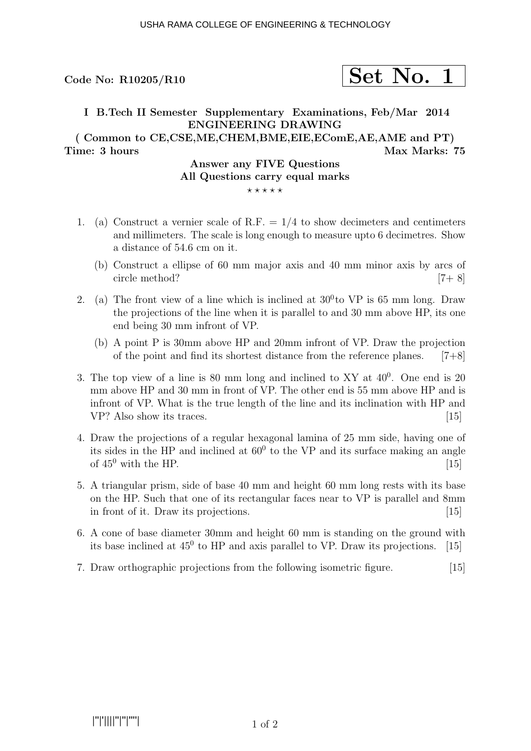# $\rm{Code}$  No: R10205/R10  $\rm{Set}$   $\rm{Net}$   $\rm{No.}$  1

## I B.Tech II Semester Supplementary Examinations, Feb/Mar 2014 ENGINEERING DRAWING

( Common to CE,CSE,ME,CHEM,BME,EIE,EComE,AE,AME and PT) Time: 3 hours and the matrix of the Max Marks: 75

#### Answer any FIVE Questions All Questions carry equal marks  $***$ \*\*

- 1. (a) Construct a vernier scale of R.F.  $= 1/4$  to show decimeters and centimeters and millimeters. The scale is long enough to measure upto 6 decimetres. Show a distance of 54.6 cm on it.
	- (b) Construct a ellipse of 60 mm major axis and 40 mm minor axis by arcs of circle method? [7+ 8]
- 2. (a) The front view of a line which is inclined at  $30^0$  to VP is 65 mm long. Draw the projections of the line when it is parallel to and 30 mm above HP, its one end being 30 mm infront of VP.
	- (b) A point P is 30mm above HP and 20mm infront of VP. Draw the projection of the point and find its shortest distance from the reference planes.  $[7+8]$
- 3. The top view of a line is 80 mm long and inclined to XY at  $40^0$ . One end is 20 mm above HP and 30 mm in front of VP. The other end is 55 mm above HP and is infront of VP. What is the true length of the line and its inclination with HP and VP? Also show its traces. [15]
- 4. Draw the projections of a regular hexagonal lamina of 25 mm side, having one of its sides in the HP and inclined at  $60^{\circ}$  to the VP and its surface making an angle of  $45^{\circ}$  with the HP.  $[15]$
- 5. A triangular prism, side of base 40 mm and height 60 mm long rests with its base on the HP. Such that one of its rectangular faces near to VP is parallel and 8mm in front of it. Draw its projections. [15]
- 6. A cone of base diameter 30mm and height 60 mm is standing on the ground with its base inclined at  $45^0$  to HP and axis parallel to VP. Draw its projections. [15]
- 7. Draw orthographic projections from the following isometric figure. [15]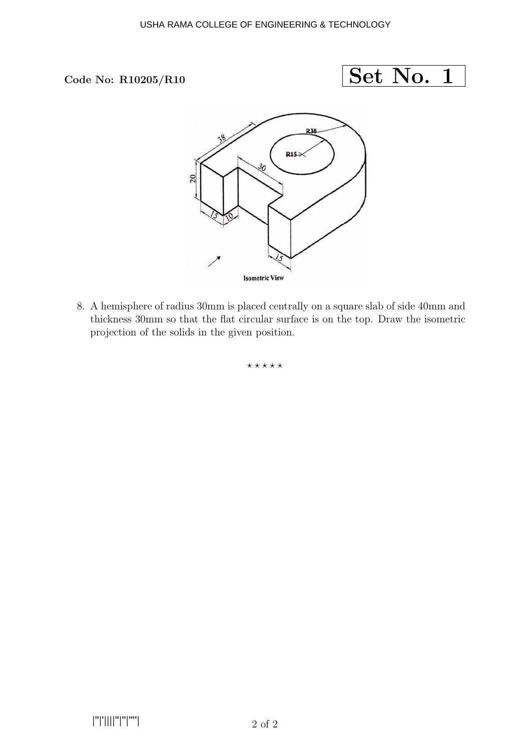### Code No:  $R10205/R10$



8. A hemisphere of radius 30mm is placed centrally on a square slab of side 40mm and thickness 30mm so that the flat circular surface is on the top. Draw the isometric projection of the solids in the given position.

 $***$ \*\*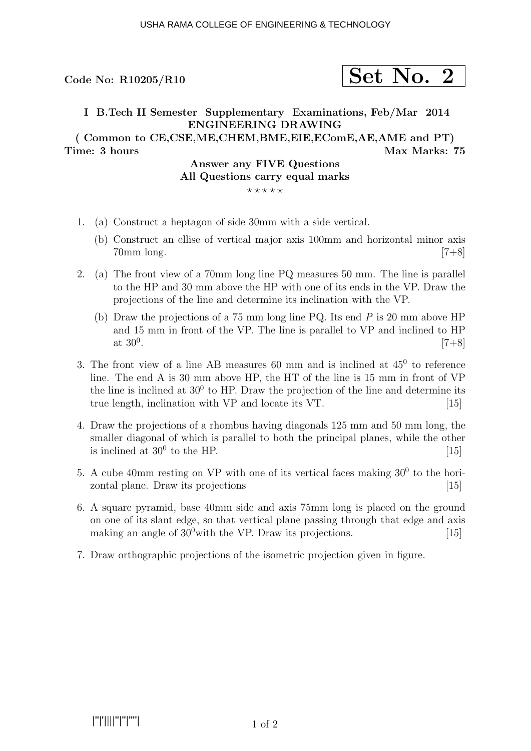# $\rm{Code}$  No: R10205/R10  $\rm{Set}$   $\rm{Net}$   $\rm{No.}$  2

# I B.Tech II Semester Supplementary Examinations, Feb/Mar 2014 ENGINEERING DRAWING ( Common to CE,CSE,ME,CHEM,BME,EIE,EComE,AE,AME and PT) Time: 3 hours and the matrix of the Max Marks: 75

### Answer any FIVE Questions All Questions carry equal marks  $***$ \*\*

- 1. (a) Construct a heptagon of side 30mm with a side vertical.
	- (b) Construct an ellise of vertical major axis 100mm and horizontal minor axis 70mm long. [7+8]
- 2. (a) The front view of a 70mm long line PQ measures 50 mm. The line is parallel to the HP and 30 mm above the HP with one of its ends in the VP. Draw the projections of the line and determine its inclination with the VP.
	- (b) Draw the projections of a 75 mm long line PQ. Its end P is 20 mm above HP and 15 mm in front of the VP. The line is parallel to VP and inclined to HP at  $30^0$ . .  $[7+8]$
- 3. The front view of a line AB measures  $60$  mm and is inclined at  $45^0$  to reference line. The end A is 30 mm above HP, the HT of the line is 15 mm in front of VP the line is inclined at  $30^0$  to HP. Draw the projection of the line and determine its true length, inclination with VP and locate its VT. [15]
- 4. Draw the projections of a rhombus having diagonals 125 mm and 50 mm long, the smaller diagonal of which is parallel to both the principal planes, while the other is inclined at  $30^0$  to the HP. [15]
- 5. A cube 40mm resting on VP with one of its vertical faces making  $30^0$  to the horizontal plane. Draw its projections [15]
- 6. A square pyramid, base 40mm side and axis 75mm long is placed on the ground on one of its slant edge, so that vertical plane passing through that edge and axis making an angle of  $30^0$  with the VP. Draw its projections. [15]
- 7. Draw orthographic projections of the isometric projection given in figure.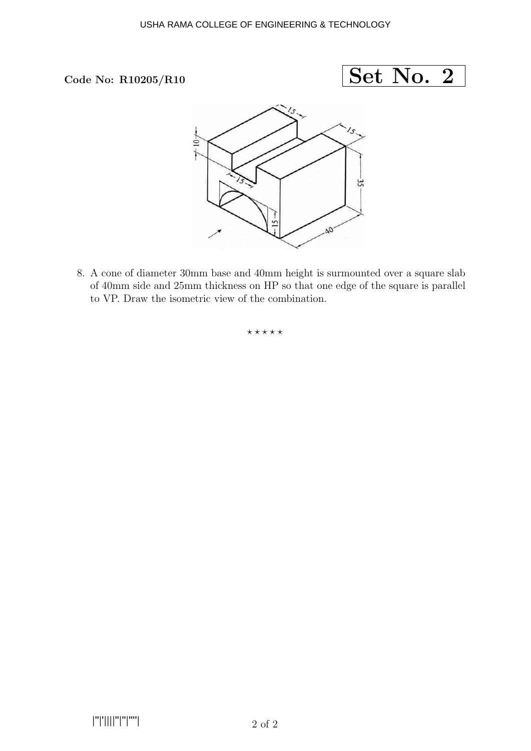



8. A cone of diameter 30mm base and 40mm height is surmounted over a square slab of 40mm side and 25mm thickness on HP so that one edge of the square is parallel to VP. Draw the isometric view of the combination.

 $***$ \*\*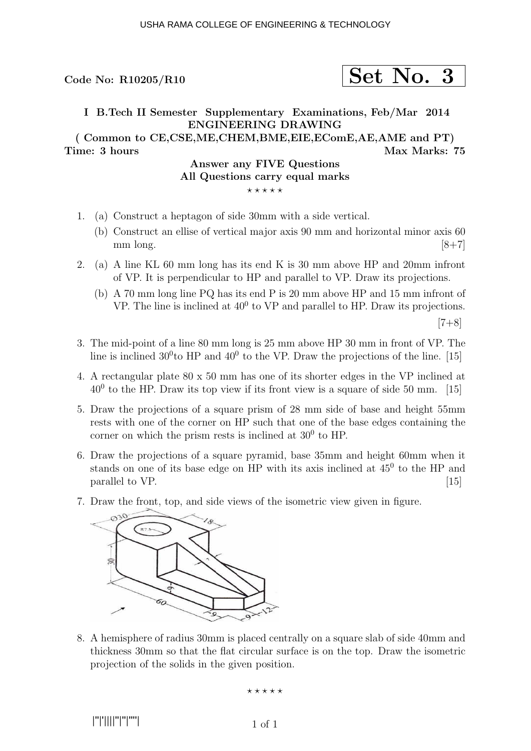# Code No: R10205/R10  $\vert$  Set No. 3

### I B.Tech II Semester Supplementary Examinations, Feb/Mar 2014 ENGINEERING DRAWING

( Common to CE,CSE,ME,CHEM,BME,EIE,EComE,AE,AME and PT) Time: 3 hours and the matrix of the Max Marks: 75

#### Answer any FIVE Questions All Questions carry equal marks  $***$ \*\*

- 1. (a) Construct a heptagon of side 30mm with a side vertical.
	- (b) Construct an ellise of vertical major axis 90 mm and horizontal minor axis 60 mm long.  $[8+7]$
- 2. (a) A line KL 60 mm long has its end K is 30 mm above HP and 20mm infront of VP. It is perpendicular to HP and parallel to VP. Draw its projections.
	- (b) A 70 mm long line PQ has its end P is 20 mm above HP and 15 mm infront of VP. The line is inclined at  $40^0$  to VP and parallel to HP. Draw its projections.

 $[7+8]$ 

- 3. The mid-point of a line 80 mm long is 25 mm above HP 30 mm in front of VP. The line is inclined  $30^0$ to HP and  $40^0$  to the VP. Draw the projections of the line. [15]
- 4. A rectangular plate 80 x 50 mm has one of its shorter edges in the VP inclined at  $40<sup>0</sup>$  to the HP. Draw its top view if its front view is a square of side 50 mm. [15]
- 5. Draw the projections of a square prism of 28 mm side of base and height 55mm rests with one of the corner on HP such that one of the base edges containing the corner on which the prism rests is inclined at  $30^0$  to HP.
- 6. Draw the projections of a square pyramid, base 35mm and height 60mm when it stands on one of its base edge on HP with its axis inclined at  $45^{\circ}$  to the HP and  $\alpha$  parallel to VP.  $\qquad \qquad \text{[15]}$
- 7. Draw the front, top, and side views of the isometric view given in figure.



8. A hemisphere of radius 30mm is placed centrally on a square slab of side 40mm and thickness 30mm so that the flat circular surface is on the top. Draw the isometric projection of the solids in the given position.

⋆ ⋆ ⋆ ⋆ ⋆

|''|'||||''|''|''''|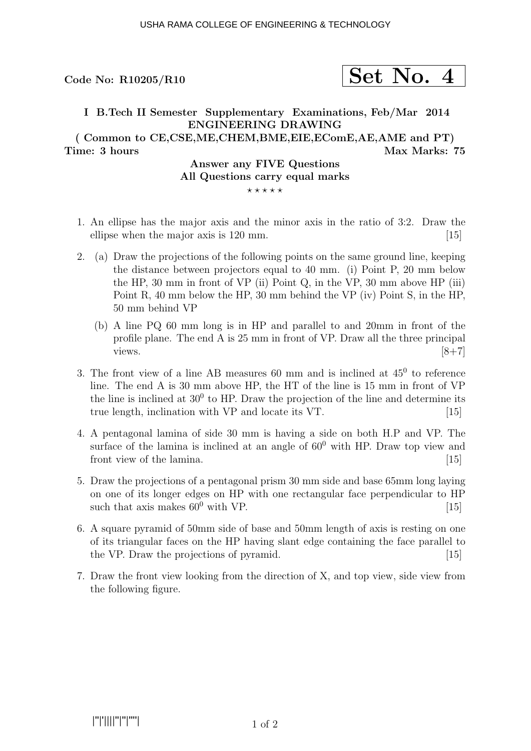# Code No: R10205/R10  $\vert$  Set No. 4

### I B.Tech II Semester Supplementary Examinations, Feb/Mar 2014 ENGINEERING DRAWING ( Common to CE,CSE,ME,CHEM,BME,EIE,EComE,AE,AME and PT)

Time: 3 hours Max Marks: 75

### Answer any FIVE Questions All Questions carry equal marks  $***$ \*\*

- 1. An ellipse has the major axis and the minor axis in the ratio of 3:2. Draw the ellipse when the major axis is 120 mm. [15]
- 2. (a) Draw the projections of the following points on the same ground line, keeping the distance between projectors equal to 40 mm. (i) Point P, 20 mm below the HP, 30 mm in front of VP (ii) Point Q, in the VP, 30 mm above HP (iii) Point R, 40 mm below the HP, 30 mm behind the VP (iv) Point S, in the HP, 50 mm behind VP
	- (b) A line PQ 60 mm long is in HP and parallel to and 20mm in front of the profile plane. The end A is 25 mm in front of VP. Draw all the three principal views.  $[8+7]$
- 3. The front view of a line AB measures  $60$  mm and is inclined at  $45^{\circ}$  to reference line. The end A is 30 mm above HP, the HT of the line is 15 mm in front of VP the line is inclined at  $30^0$  to HP. Draw the projection of the line and determine its true length, inclination with VP and locate its VT. [15]
- 4. A pentagonal lamina of side 30 mm is having a side on both H.P and VP. The surface of the lamina is inclined at an angle of  $60^0$  with HP. Draw top view and front view of the lamina. [15] [15]
- 5. Draw the projections of a pentagonal prism 30 mm side and base 65mm long laying on one of its longer edges on HP with one rectangular face perpendicular to HP such that axis makes  $60^0$  with VP. [15]
- 6. A square pyramid of 50mm side of base and 50mm length of axis is resting on one of its triangular faces on the HP having slant edge containing the face parallel to the VP. Draw the projections of pyramid. [15]
- 7. Draw the front view looking from the direction of X, and top view, side view from the following figure.